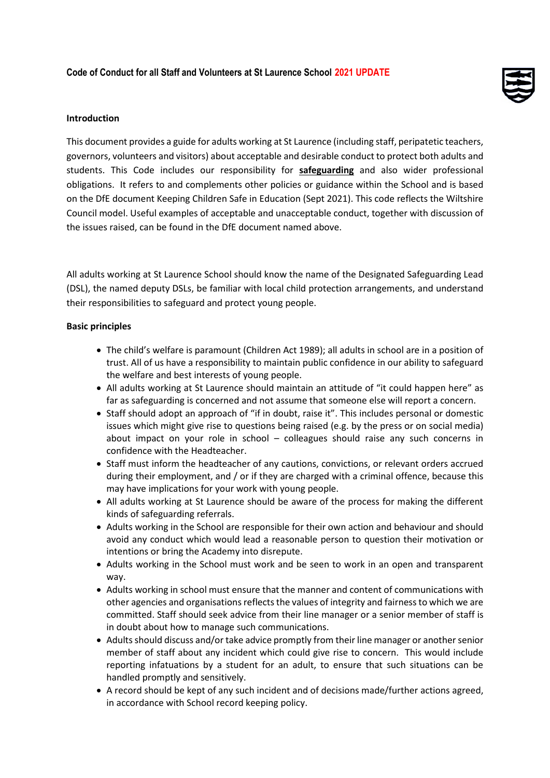

# **Introduction**

This document provides a guide for adults working at St Laurence (including staff, peripatetic teachers, governors, volunteers and visitors) about acceptable and desirable conduct to protect both adults and students. This Code includes our responsibility for **safeguarding** and also wider professional obligations. It refers to and complements other policies or guidance within the School and is based on the DfE document Keeping Children Safe in Education (Sept 2021). This code reflects the Wiltshire Council model. Useful examples of acceptable and unacceptable conduct, together with discussion of the issues raised, can be found in the DfE document named above.

All adults working at St Laurence School should know the name of the Designated Safeguarding Lead (DSL), the named deputy DSLs, be familiar with local child protection arrangements, and understand their responsibilities to safeguard and protect young people.

# **Basic principles**

- The child's welfare is paramount (Children Act 1989); all adults in school are in a position of trust. All of us have a responsibility to maintain public confidence in our ability to safeguard the welfare and best interests of young people.
- All adults working at St Laurence should maintain an attitude of "it could happen here" as far as safeguarding is concerned and not assume that someone else will report a concern.
- Staff should adopt an approach of "if in doubt, raise it". This includes personal or domestic issues which might give rise to questions being raised (e.g. by the press or on social media) about impact on your role in school – colleagues should raise any such concerns in confidence with the Headteacher.
- Staff must inform the headteacher of any cautions, convictions, or relevant orders accrued during their employment, and / or if they are charged with a criminal offence, because this may have implications for your work with young people.
- All adults working at St Laurence should be aware of the process for making the different kinds of safeguarding referrals.
- Adults working in the School are responsible for their own action and behaviour and should avoid any conduct which would lead a reasonable person to question their motivation or intentions or bring the Academy into disrepute.
- Adults working in the School must work and be seen to work in an open and transparent way.
- Adults working in school must ensure that the manner and content of communications with other agencies and organisations reflects the values of integrity and fairness to which we are committed. Staff should seek advice from their line manager or a senior member of staff is in doubt about how to manage such communications.
- Adults should discuss and/or take advice promptly from their line manager or another senior member of staff about any incident which could give rise to concern. This would include reporting infatuations by a student for an adult, to ensure that such situations can be handled promptly and sensitively.
- A record should be kept of any such incident and of decisions made/further actions agreed, in accordance with School record keeping policy.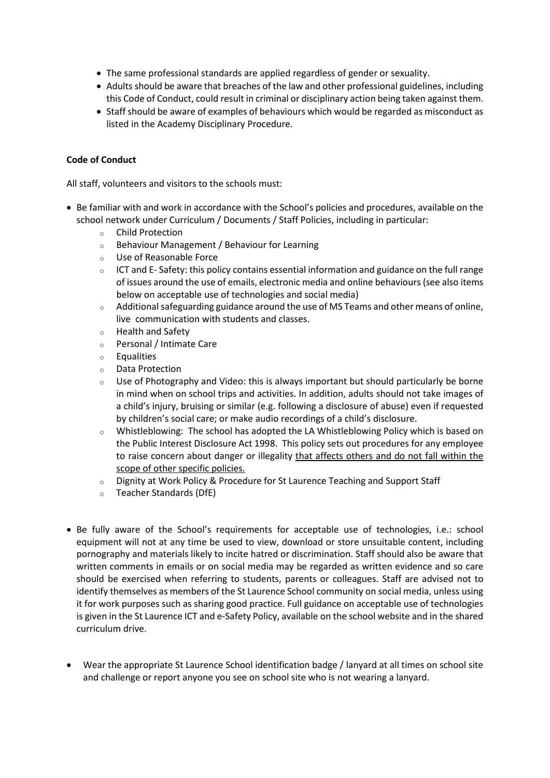- The same professional standards are applied regardless of gender or sexuality.
- Adults should be aware that breaches of the law and other professional guidelines, including this Code of Conduct, could result in criminal or disciplinary action being taken against them.
- Staff should be aware of examples of behaviours which would be regarded as misconduct as listed in the Academy Disciplinary Procedure.

# **Code of Conduct**

All staff, volunteers and visitors to the schools must:

- Be familiar with and work in accordance with the School's policies and procedures, available on the school network under Curriculum / Documents / Staff Policies, including in particular:
	- <sup>o</sup> Child Protection
	- <sup>o</sup> Behaviour Management / Behaviour for Learning
	- <sup>o</sup> Use of Reasonable Force
	- $\circ$  ICT and E- Safety: this policy contains essential information and guidance on the full range of issues around the use of emails, electronic media and online behaviours (see also items below on acceptable use of technologies and social media)
	- <sup>o</sup> Additional safeguarding guidance around the use of MS Teams and other means of online, live communication with students and classes.
	- <sup>o</sup> Health and Safety
	- <sup>o</sup> Personal / Intimate Care
	- <sup>o</sup> Equalities
	- <sup>o</sup> Data Protection
	- $\circ$  Use of Photography and Video: this is always important but should particularly be borne in mind when on school trips and activities. In addition, adults should not take images of a child's injury, bruising or similar (e.g. following a disclosure of abuse) even if requested by children's social care; or make audio recordings of a child's disclosure.
	- <sup>o</sup> Whistleblowing: The school has adopted the LA Whistleblowing Policy which is based on the Public Interest Disclosure Act 1998. This policy sets out procedures for any employee to raise concern about danger or illegality that affects others and do not fall within the scope of other specific policies.
	- <sup>o</sup> Dignity at Work Policy & Procedure for St Laurence Teaching and Support Staff
	- <sup>o</sup> Teacher Standards (DfE)
- Be fully aware of the School's requirements for acceptable use of technologies, i.e.: school equipment will not at any time be used to view, download or store unsuitable content, including pornography and materials likely to incite hatred or discrimination. Staff should also be aware that written comments in emails or on social media may be regarded as written evidence and so care should be exercised when referring to students, parents or colleagues. Staff are advised not to identify themselves as members of the St Laurence School community on social media, unless using it for work purposes such as sharing good practice. Full guidance on acceptable use of technologies is given in the St Laurence ICT and e-Safety Policy, available on the school website and in the shared curriculum drive.
- Wear the appropriate St Laurence School identification badge / lanyard at all times on school site and challenge or report anyone you see on school site who is not wearing a lanyard.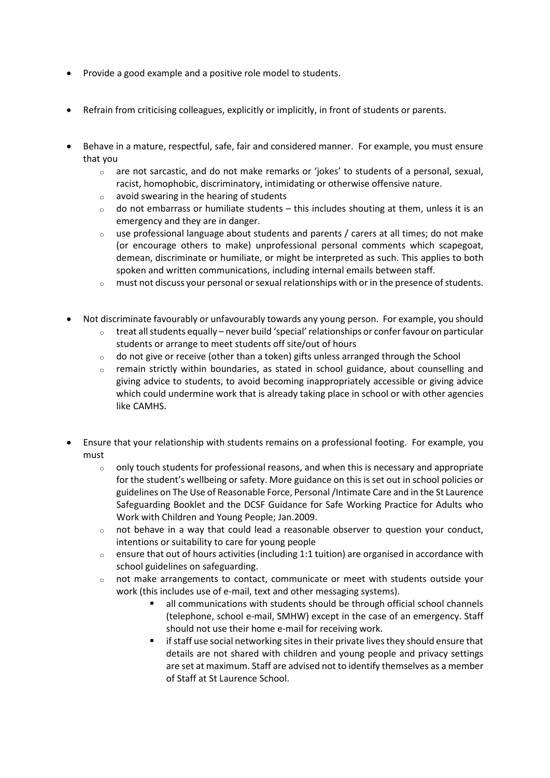- Provide a good example and a positive role model to students.
- Refrain from criticising colleagues, explicitly or implicitly, in front of students or parents.
- Behave in a mature, respectful, safe, fair and considered manner. For example, you must ensure that you
	- $\circ$  are not sarcastic, and do not make remarks or 'jokes' to students of a personal, sexual, racist, homophobic, discriminatory, intimidating or otherwise offensive nature.
	- <sup>o</sup> avoid swearing in the hearing of students
	- $\circ$  do not embarrass or humiliate students this includes shouting at them, unless it is an emergency and they are in danger.
	- $\circ$  use professional language about students and parents / carers at all times; do not make (or encourage others to make) unprofessional personal comments which scapegoat, demean, discriminate or humiliate, or might be interpreted as such. This applies to both spoken and written communications, including internal emails between staff.
	- <sup>o</sup> must not discuss your personal or sexual relationships with or in the presence of students.
- Not discriminate favourably or unfavourably towards any young person. For example, you should
	- $\circ$  treat all students equally never build 'special' relationships or confer favour on particular students or arrange to meet students off site/out of hours
	- $\circ$  do not give or receive (other than a token) gifts unless arranged through the School
	- $\circ$  remain strictly within boundaries, as stated in school guidance, about counselling and giving advice to students, to avoid becoming inappropriately accessible or giving advice which could undermine work that is already taking place in school or with other agencies like CAMHS.
- Ensure that your relationship with students remains on a professional footing. For example, you must
	- $\circ$  only touch students for professional reasons, and when this is necessary and appropriate for the student's wellbeing or safety. More guidance on this is set out in school policies or guidelines on The Use of Reasonable Force, Personal /Intimate Care and in the St Laurence Safeguarding Booklet and the DCSF Guidance for Safe Working Practice for Adults who Work with Children and Young People; Jan.2009.
	- $\circ$  not behave in a way that could lead a reasonable observer to question your conduct, intentions or suitability to care for young people
	- $\circ$  ensure that out of hours activities (including 1:1 tuition) are organised in accordance with school guidelines on safeguarding.
	- <sup>o</sup> not make arrangements to contact, communicate or meet with students outside your work (this includes use of e-mail, text and other messaging systems).
		- all communications with students should be through official school channels (telephone, school e-mail, SMHW) except in the case of an emergency. Staff should not use their home e-mail for receiving work.
		- if staff use social networking sites in their private lives they should ensure that details are not shared with children and young people and privacy settings are set at maximum. Staff are advised not to identify themselves as a member of Staff at St Laurence School.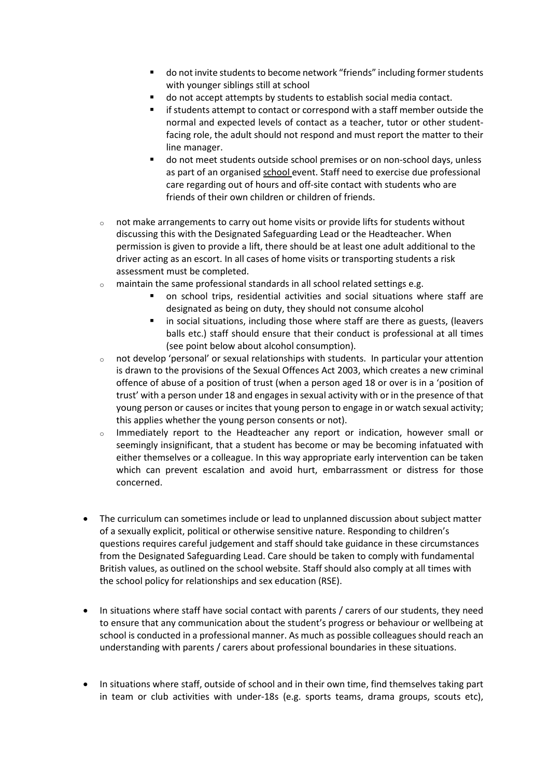- do not invite students to become network "friends" including former students with younger siblings still at school
- do not accept attempts by students to establish social media contact.
- if students attempt to contact or correspond with a staff member outside the normal and expected levels of contact as a teacher, tutor or other studentfacing role, the adult should not respond and must report the matter to their line manager.
- do not meet students outside school premises or on non-school days, unless as part of an organised school event. Staff need to exercise due professional care regarding out of hours and off-site contact with students who are friends of their own children or children of friends.
- $\circ$  not make arrangements to carry out home visits or provide lifts for students without discussing this with the Designated Safeguarding Lead or the Headteacher. When permission is given to provide a lift, there should be at least one adult additional to the driver acting as an escort. In all cases of home visits or transporting students a risk assessment must be completed.
- <sup>o</sup> maintain the same professional standards in all school related settings e.g.
	- on school trips, residential activities and social situations where staff are designated as being on duty, they should not consume alcohol
	- in social situations, including those where staff are there as guests, (leavers balls etc.) staff should ensure that their conduct is professional at all times (see point below about alcohol consumption).
- <sup>o</sup> not develop 'personal' or sexual relationships with students. In particular your attention is drawn to the provisions of the Sexual Offences Act 2003, which creates a new criminal offence of abuse of a position of trust (when a person aged 18 or over is in a 'position of trust' with a person under 18 and engages in sexual activity with or in the presence of that young person or causes or incites that young person to engage in or watch sexual activity; this applies whether the young person consents or not).
- <sup>o</sup> Immediately report to the Headteacher any report or indication, however small or seemingly insignificant, that a student has become or may be becoming infatuated with either themselves or a colleague. In this way appropriate early intervention can be taken which can prevent escalation and avoid hurt, embarrassment or distress for those concerned.
- The curriculum can sometimes include or lead to unplanned discussion about subject matter of a sexually explicit, political or otherwise sensitive nature. Responding to children's questions requires careful judgement and staff should take guidance in these circumstances from the Designated Safeguarding Lead. Care should be taken to comply with fundamental British values, as outlined on the school website. Staff should also comply at all times with the school policy for relationships and sex education (RSE).
- In situations where staff have social contact with parents / carers of our students, they need to ensure that any communication about the student's progress or behaviour or wellbeing at school is conducted in a professional manner. As much as possible colleagues should reach an understanding with parents / carers about professional boundaries in these situations.
- In situations where staff, outside of school and in their own time, find themselves taking part in team or club activities with under-18s (e.g. sports teams, drama groups, scouts etc),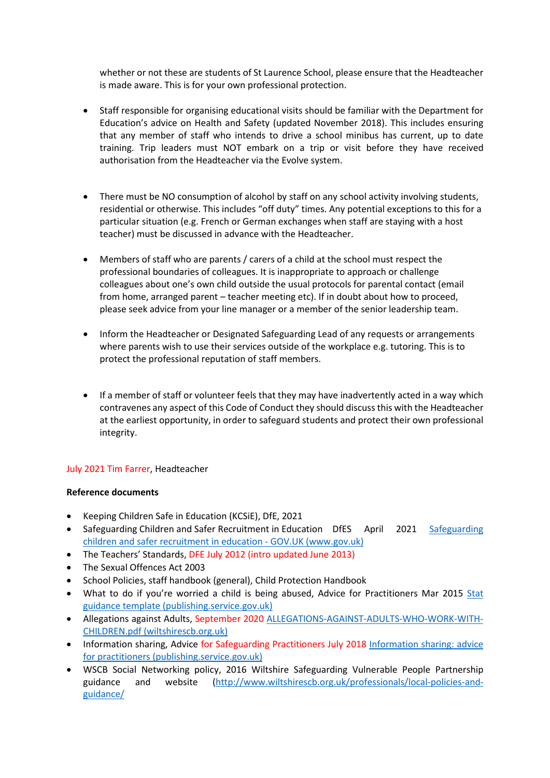whether or not these are students of St Laurence School, please ensure that the Headteacher is made aware. This is for your own professional protection.

- Staff responsible for organising educational visits should be familiar with the Department for Education's advice on Health and Safety (updated November 2018). This includes ensuring that any member of staff who intends to drive a school minibus has current, up to date training. Trip leaders must NOT embark on a trip or visit before they have received authorisation from the Headteacher via the Evolve system.
- There must be NO consumption of alcohol by staff on any school activity involving students, residential or otherwise. This includes "off duty" times. Any potential exceptions to this for a particular situation (e.g. French or German exchanges when staff are staying with a host teacher) must be discussed in advance with the Headteacher.
- Members of staff who are parents / carers of a child at the school must respect the professional boundaries of colleagues. It is inappropriate to approach or challenge colleagues about one's own child outside the usual protocols for parental contact (email from home, arranged parent – teacher meeting etc). If in doubt about how to proceed, please seek advice from your line manager or a member of the senior leadership team.
- Inform the Headteacher or Designated Safeguarding Lead of any requests or arrangements where parents wish to use their services outside of the workplace e.g. tutoring. This is to protect the professional reputation of staff members.
- If a member of staff or volunteer feels that they may have inadvertently acted in a way which contravenes any aspect of this Code of Conduct they should discuss this with the Headteacher at the earliest opportunity, in order to safeguard students and protect their own professional integrity.

# July 2021 Tim Farrer, Headteacher

# **Reference documents**

- Keeping Children Safe in Education (KCSiE), DfE, 2021
- [Safeguarding](https://www.gov.uk/government/publications/safeguarding-children-and-safer-recruitment-in-education) Children and Safer Recruitment in Education DfES April 2021 Safeguarding [children and safer recruitment in education -](https://www.gov.uk/government/publications/safeguarding-children-and-safer-recruitment-in-education) GOV.UK (www.gov.uk)
- The Teachers' Standards, DFE July 2012 (intro updated June 2013)
- The Sexual Offences Act 2003
- School Policies, staff handbook (general), Child Protection Handbook
- What to do if you're worried a child is being abused, Advice for Practitioners Mar 2015 [Stat](https://assets.publishing.service.gov.uk/government/uploads/system/uploads/attachment_data/file/419604/What_to_do_if_you_re_worried_a_child_is_being_abused.pdf)  [guidance template \(publishing.service.gov.uk\)](https://assets.publishing.service.gov.uk/government/uploads/system/uploads/attachment_data/file/419604/What_to_do_if_you_re_worried_a_child_is_being_abused.pdf)
- Allegations against Adults, September 2020 [ALLEGATIONS-AGAINST-ADULTS-WHO-WORK-WITH-](https://www.wiltshirescb.org.uk/wp-content/uploads/2021/04/ALLEGATIONS-AGAINST-ADULTS-WHO-WORK-WITH-CHILDREN.pdf)[CHILDREN.pdf \(wiltshirescb.org.uk\)](https://www.wiltshirescb.org.uk/wp-content/uploads/2021/04/ALLEGATIONS-AGAINST-ADULTS-WHO-WORK-WITH-CHILDREN.pdf)
- Information sharing, Advice for Safeguarding Practitioners July 2018 [Information sharing: advice](https://assets.publishing.service.gov.uk/government/uploads/system/uploads/attachment_data/file/721581/Information_sharing_advice_practitioners_safeguarding_services.pdf)  [for practitioners \(publishing.service.gov.uk\)](https://assets.publishing.service.gov.uk/government/uploads/system/uploads/attachment_data/file/721581/Information_sharing_advice_practitioners_safeguarding_services.pdf)
- WSCB Social Networking policy, 2016 Wiltshire Safeguarding Vulnerable People Partnership guidance and website [\(http://www.wiltshirescb.org.uk/professionals/local-policies-and](http://www.wiltshirescb.org.uk/professionals/local-policies-and-guidance/)[guidance/](http://www.wiltshirescb.org.uk/professionals/local-policies-and-guidance/)